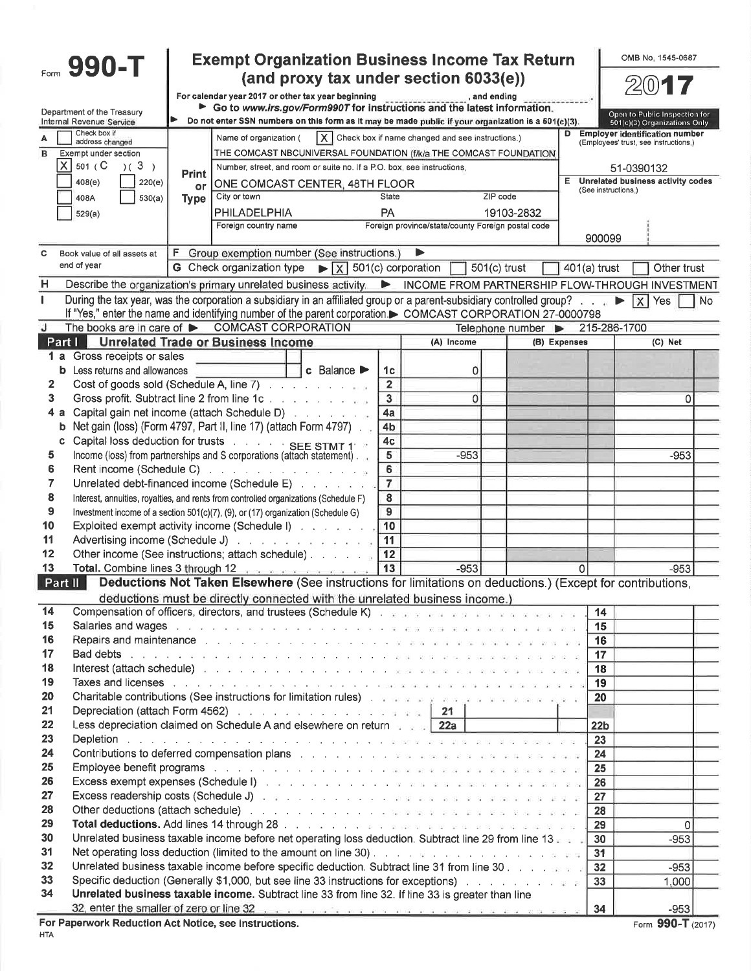|                               | Form 990-T                                                                                                                                                                                                                         |              | <b>Exempt Organization Business Income Tax Return</b>                                                                                                                                                                          |                                   |                         | (and proxy tax under section 6033(e))                                       |                                        |                       | OMB No. 1545-0687                                                              |          |
|-------------------------------|------------------------------------------------------------------------------------------------------------------------------------------------------------------------------------------------------------------------------------|--------------|--------------------------------------------------------------------------------------------------------------------------------------------------------------------------------------------------------------------------------|-----------------------------------|-------------------------|-----------------------------------------------------------------------------|----------------------------------------|-----------------------|--------------------------------------------------------------------------------|----------|
|                               | Department of the Treasury                                                                                                                                                                                                         |              | For calendar year 2017 or other tax year beginning <b>Contract Control of the ending</b><br>Go to www.irs.gov/Form990T for instructions and the latest information.                                                            |                                   |                         |                                                                             |                                        |                       | Open to Public Inspection for                                                  |          |
|                               | Internal Revenue Service                                                                                                                                                                                                           |              | Do not enter SSN numbers on this form as it may be made public if your organization is a 501(c)(3).                                                                                                                            |                                   |                         |                                                                             |                                        |                       | 501(c)(3) Organizations Only                                                   |          |
|                               | Check box if<br>address changed                                                                                                                                                                                                    |              | Name of organization (                                                                                                                                                                                                         |                                   |                         | $\vert$ $\mathsf{X} \vert$ Check box if name changed and see instructions.) |                                        | D                     | <b>Employer identification number</b><br>(Employees' trust, see instructions.) |          |
| в                             | Exempt under section                                                                                                                                                                                                               |              | THE COMCAST NBCUNIVERSAL FOUNDATION (f/k/a THE COMCAST FOUNDATION)                                                                                                                                                             |                                   |                         |                                                                             |                                        |                       |                                                                                |          |
|                               | $ \overline{X} $ 501 (C<br>(3)                                                                                                                                                                                                     | <b>Print</b> | Number, street, and room or suite no. If a P.O. box, see instructions.                                                                                                                                                         |                                   |                         |                                                                             |                                        |                       | 51-0390132                                                                     |          |
|                               | 408(e)<br>220(e)                                                                                                                                                                                                                   | or           | ONE COMCAST CENTER, 48TH FLOOR                                                                                                                                                                                                 |                                   |                         |                                                                             |                                        | E.                    | Unrelated business activity codes<br>(See instructions.)                       |          |
|                               | 530(a)<br>408A                                                                                                                                                                                                                     | <b>Type</b>  | City or town                                                                                                                                                                                                                   |                                   | State                   |                                                                             | ZIP code                               |                       |                                                                                |          |
|                               | 529(a)                                                                                                                                                                                                                             |              | PHILADELPHIA                                                                                                                                                                                                                   |                                   | PA                      |                                                                             | 19103-2832                             |                       |                                                                                |          |
|                               |                                                                                                                                                                                                                                    |              | Foreign country name                                                                                                                                                                                                           |                                   |                         | Foreign province/state/county Foreign postal code                           |                                        |                       |                                                                                |          |
|                               |                                                                                                                                                                                                                                    |              |                                                                                                                                                                                                                                |                                   |                         |                                                                             |                                        | 900099                |                                                                                |          |
| C                             | Book value of all assets at<br>end of year                                                                                                                                                                                         | F.           | Group exemption number (See instructions.)                                                                                                                                                                                     |                                   |                         | ▶                                                                           |                                        |                       |                                                                                |          |
|                               |                                                                                                                                                                                                                                    |              | G Check organization type $\triangleright$ $\boxed{X}$ 501(c) corporation                                                                                                                                                      |                                   |                         |                                                                             | $501(c)$ trust                         | 401(a) trust          | Other trust                                                                    |          |
| н                             | Describe the organization's primary unrelated business activity. De INCOME FROM PARTNERSHIP FLOW-THROUGH INVESTMENT                                                                                                                |              |                                                                                                                                                                                                                                |                                   |                         |                                                                             |                                        |                       |                                                                                |          |
| 1                             | During the tax year, was the corporation a subsidiary in an affiliated group or a parent-subsidiary controlled group? $\blacktriangleright \;   \; \times   \; \rangle$ Yes                                                        |              |                                                                                                                                                                                                                                |                                   |                         |                                                                             |                                        |                       |                                                                                | No.      |
| J                             | If "Yes." enter the name and identifying number of the parent corporation. COMCAST CORPORATION 27-0000798<br>The books are in care of COMCAST CORPORATION                                                                          |              |                                                                                                                                                                                                                                |                                   |                         |                                                                             |                                        |                       |                                                                                |          |
|                               | Part I Unrelated Trade or Business Income                                                                                                                                                                                          |              |                                                                                                                                                                                                                                |                                   |                         | (A) Income                                                                  | Telephone number $\blacktriangleright$ | (B) Expenses          | 215-286-1700<br>$(C)$ Net                                                      |          |
| 1 а                           | Gross receipts or sales                                                                                                                                                                                                            |              |                                                                                                                                                                                                                                |                                   |                         |                                                                             |                                        |                       |                                                                                |          |
|                               | <b>b</b> Less returns and allowances                                                                                                                                                                                               |              |                                                                                                                                                                                                                                | $c$ Balance $\blacktriangleright$ | 1 <sub>c</sub>          | 0                                                                           |                                        |                       |                                                                                |          |
| 2                             |                                                                                                                                                                                                                                    |              | Cost of goods sold (Schedule A, line 7)                                                                                                                                                                                        |                                   | $\overline{2}$          |                                                                             |                                        |                       |                                                                                |          |
| 3                             |                                                                                                                                                                                                                                    |              |                                                                                                                                                                                                                                |                                   | $\overline{\mathbf{3}}$ | 0                                                                           |                                        |                       |                                                                                | 0        |
| 4а                            | Capital gain net income (attach Schedule D)                                                                                                                                                                                        |              |                                                                                                                                                                                                                                |                                   | 4a                      |                                                                             |                                        |                       |                                                                                |          |
| b                             | Net gain (loss) (Form 4797, Part II, line 17) (attach Form 4797).                                                                                                                                                                  |              |                                                                                                                                                                                                                                |                                   | 4 <sub>b</sub>          |                                                                             |                                        |                       |                                                                                |          |
| c                             | Capital loss deduction for trusts and a set SEE STMT 1 and                                                                                                                                                                         |              |                                                                                                                                                                                                                                |                                   | 4c                      |                                                                             |                                        |                       |                                                                                |          |
| 5                             |                                                                                                                                                                                                                                    |              | Income (loss) from partnerships and S corporations (attach statement).                                                                                                                                                         |                                   | 5                       | -953                                                                        |                                        |                       | $-953$                                                                         |          |
| 6                             |                                                                                                                                                                                                                                    |              | Rent income (Schedule C) and a contract the contract of the Rent income                                                                                                                                                        |                                   | 6                       |                                                                             |                                        |                       |                                                                                |          |
| 7                             |                                                                                                                                                                                                                                    |              | Unrelated debt-financed income (Schedule E)                                                                                                                                                                                    |                                   | $\overline{7}$          |                                                                             |                                        |                       |                                                                                |          |
| 8                             | Interest, annuities, royalties, and rents from controlled organizations (Schedule F)                                                                                                                                               |              |                                                                                                                                                                                                                                |                                   | 8                       |                                                                             |                                        |                       |                                                                                |          |
| 9                             | Investment income of a section 501(c)(7), (9), or (17) organization (Schedule G)                                                                                                                                                   |              |                                                                                                                                                                                                                                |                                   | 9                       |                                                                             |                                        |                       |                                                                                |          |
| 10                            | Exploited exempt activity income (Schedule I)                                                                                                                                                                                      |              |                                                                                                                                                                                                                                |                                   | 10                      |                                                                             |                                        |                       |                                                                                |          |
| 11<br>12                      | Advertising income (Schedule J)                                                                                                                                                                                                    |              | Other income (See instructions; attach schedule)                                                                                                                                                                               |                                   | 11<br>12                |                                                                             |                                        |                       |                                                                                |          |
| 13                            |                                                                                                                                                                                                                                    |              | Total. Combine lines 3 through 12                                                                                                                                                                                              |                                   | 13                      | $-953$                                                                      |                                        | $\Omega$              | $-953$                                                                         |          |
| Part $\overline{\mathsf{II}}$ |                                                                                                                                                                                                                                    |              | Deductions Not Taken Elsewhere (See instructions for limitations on deductions.) (Except for contributions,                                                                                                                    |                                   |                         |                                                                             |                                        |                       |                                                                                |          |
|                               |                                                                                                                                                                                                                                    |              | deductions must be directly connected with the unrelated business income.)                                                                                                                                                     |                                   |                         |                                                                             |                                        |                       |                                                                                |          |
| 14                            |                                                                                                                                                                                                                                    |              | Compensation of officers, directors, and trustees (Schedule K) and the second service of the service of the service of                                                                                                         |                                   |                         |                                                                             |                                        | 14                    |                                                                                |          |
| 15                            |                                                                                                                                                                                                                                    |              | Salaries and wages with a community of the contract of the service and the contract of the contract of the contract of the contract of the contract of the contract of the contract of the contract of the contract of the con |                                   |                         |                                                                             |                                        | 15                    |                                                                                |          |
| 16                            |                                                                                                                                                                                                                                    |              |                                                                                                                                                                                                                                |                                   |                         |                                                                             |                                        | 16                    |                                                                                |          |
| 17                            |                                                                                                                                                                                                                                    |              |                                                                                                                                                                                                                                |                                   |                         |                                                                             |                                        | 17                    |                                                                                |          |
| 18                            |                                                                                                                                                                                                                                    |              |                                                                                                                                                                                                                                |                                   |                         |                                                                             |                                        | 18                    |                                                                                |          |
| 19                            |                                                                                                                                                                                                                                    |              |                                                                                                                                                                                                                                |                                   |                         |                                                                             |                                        | 19                    |                                                                                |          |
| 20                            | <b>Charitable contributions (See instructions for limitation rules)</b> and a series and a series and a series and                                                                                                                 |              |                                                                                                                                                                                                                                |                                   |                         |                                                                             |                                        | 20                    |                                                                                |          |
| 21                            | <b>Depreciation (attach Form 4562)</b> 21 <b>21</b>                                                                                                                                                                                |              |                                                                                                                                                                                                                                |                                   |                         |                                                                             |                                        |                       |                                                                                |          |
| 22<br>23                      | Less depreciation claimed on Schedule A and elsewhere on return server 22a                                                                                                                                                         |              |                                                                                                                                                                                                                                |                                   |                         |                                                                             |                                        | 22 <sub>b</sub><br>23 |                                                                                |          |
| 24                            | <b>Contributions to deferred compensation plans</b> to the context of the second plans of the second plans of the second plans of the second plans of the second plans of the second plans of the second plans of the second plans |              |                                                                                                                                                                                                                                |                                   |                         |                                                                             |                                        | 24                    |                                                                                |          |
| 25                            | Employee benefit programs research and containing the containing and containing the containing of the containing of the containing of the containing of the containing of the containing of the containing of the containing o     |              |                                                                                                                                                                                                                                |                                   |                         |                                                                             |                                        | 25                    |                                                                                |          |
| 26                            |                                                                                                                                                                                                                                    |              |                                                                                                                                                                                                                                |                                   |                         |                                                                             |                                        | 26                    |                                                                                |          |
| 27                            |                                                                                                                                                                                                                                    |              |                                                                                                                                                                                                                                |                                   |                         |                                                                             |                                        | 27                    |                                                                                |          |
| 28                            |                                                                                                                                                                                                                                    |              |                                                                                                                                                                                                                                |                                   |                         |                                                                             |                                        | 28                    |                                                                                |          |
| 29                            |                                                                                                                                                                                                                                    |              |                                                                                                                                                                                                                                |                                   |                         |                                                                             |                                        | 29                    |                                                                                | $\Omega$ |
| 30                            | Unrelated business taxable income before net operating loss deduction. Subtract line 29 from line 13 and                                                                                                                           |              |                                                                                                                                                                                                                                |                                   |                         |                                                                             |                                        | 30                    | $-953$                                                                         |          |
| 31                            |                                                                                                                                                                                                                                    |              |                                                                                                                                                                                                                                |                                   |                         |                                                                             |                                        | 31                    |                                                                                |          |
| 32                            | Unrelated business taxable income before specific deduction. Subtract line 31 from line 30.                                                                                                                                        |              |                                                                                                                                                                                                                                |                                   |                         |                                                                             |                                        | 32                    | $-953$                                                                         |          |
| 33                            | Specific deduction (Generally \$1,000, but see line 33 instructions for exceptions) with a contract the state                                                                                                                      |              |                                                                                                                                                                                                                                |                                   |                         |                                                                             |                                        | 33                    | 1,000                                                                          |          |
| 34                            | Unrelated business taxable income. Subtract line 33 from line 32. If line 33 is greater than line                                                                                                                                  |              |                                                                                                                                                                                                                                |                                   |                         |                                                                             |                                        |                       |                                                                                |          |
|                               | 32, enter the smaller of zero or line 32 (enterprise and a series of a series and a series of a series of a<br>For Departments Destruction Ant Notice, and instructions                                                            |              |                                                                                                                                                                                                                                |                                   |                         |                                                                             |                                        | 34                    | $-953$<br>$000 -$                                                              |          |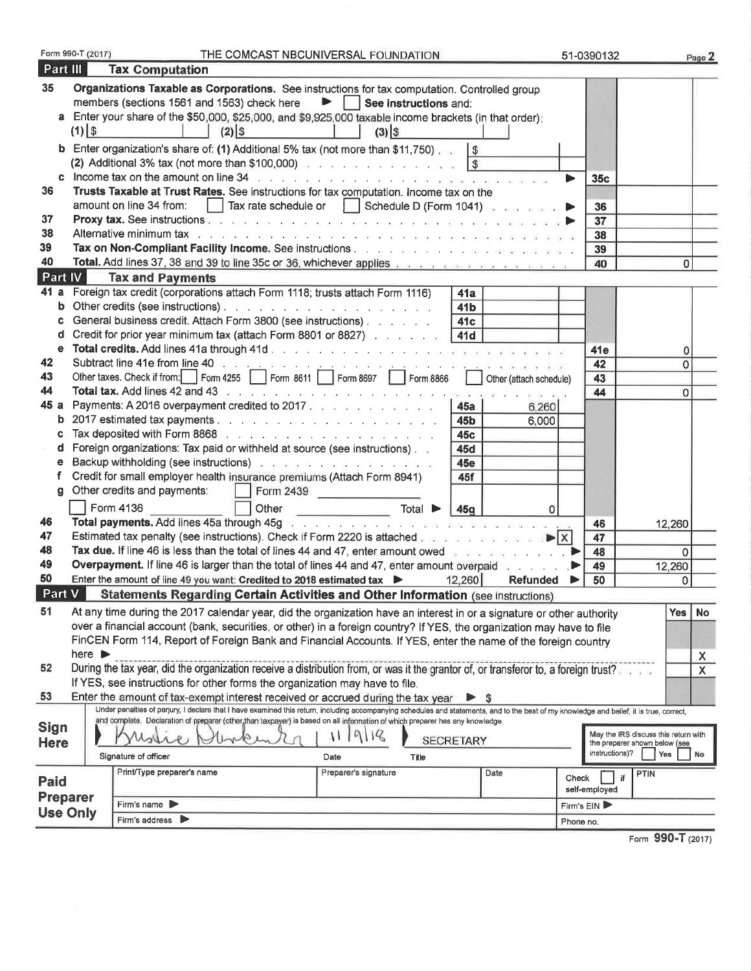| Part III        | Form 990-T (2017)          | <b>Tax Computation</b>                                                                                                                                                                                                                                                       | THE COMCAST NBCUNIVERSAL FOUNDATION                |                  |          | 51-0390132     |                                      | Page 2                  |
|-----------------|----------------------------|------------------------------------------------------------------------------------------------------------------------------------------------------------------------------------------------------------------------------------------------------------------------------|----------------------------------------------------|------------------|----------|----------------|--------------------------------------|-------------------------|
| 35              |                            |                                                                                                                                                                                                                                                                              |                                                    |                  |          |                |                                      |                         |
|                 |                            | Organizations Taxable as Corporations. See instructions for tax computation. Controlled group<br>members (sections 1561 and 1563) check here                                                                                                                                 | $\blacktriangleright$   See instructions and:      |                  |          |                |                                      |                         |
|                 |                            | a Enter your share of the \$50,000, \$25,000, and \$9,925,000 taxable income brackets (in that order):                                                                                                                                                                       |                                                    |                  |          |                |                                      |                         |
|                 | $(1)$ \$                   | $(2)$ \$                                                                                                                                                                                                                                                                     | $(3)$ \$                                           |                  |          |                |                                      |                         |
| b               |                            | Enter organization's share of: (1) Additional 5% tax (not more than \$11,750)                                                                                                                                                                                                |                                                    | $\sqrt{3}$       |          |                |                                      |                         |
|                 |                            |                                                                                                                                                                                                                                                                              |                                                    |                  |          |                |                                      |                         |
| c.              |                            | Income tax on the amount on line 34 response to the contract of the contract of the contract of the contract of the contract of the contract of the contract of the contract of the contract of the contract of the contract o                                               |                                                    |                  |          | 35c<br>▶       |                                      |                         |
| 36              |                            | Trusts Taxable at Trust Rates. See instructions for tax computation. Income tax on the                                                                                                                                                                                       |                                                    |                  |          |                |                                      |                         |
|                 |                            | amount on line 34 from:<br>$\perp$                                                                                                                                                                                                                                           | Tax rate schedule or $\Box$ Schedule D (Form 1041) |                  |          | 36             |                                      |                         |
| 37              |                            |                                                                                                                                                                                                                                                                              |                                                    |                  |          | 37             |                                      |                         |
| 38              |                            |                                                                                                                                                                                                                                                                              |                                                    |                  |          | 38             |                                      |                         |
| 39              |                            |                                                                                                                                                                                                                                                                              |                                                    |                  |          | 39             |                                      |                         |
| 40              |                            | Total. Add lines 37, 38 and 39 to line 35c or 36, whichever applies and a substance of the state of the state                                                                                                                                                                |                                                    |                  |          | 40             | 0                                    |                         |
| Part IV         |                            | <b>Tax and Payments</b>                                                                                                                                                                                                                                                      |                                                    |                  |          |                |                                      |                         |
| 41 a            |                            | Foreign tax credit (corporations attach Form 1118; trusts attach Form 1116)                                                                                                                                                                                                  |                                                    | 41a              |          |                |                                      |                         |
| b               |                            |                                                                                                                                                                                                                                                                              |                                                    | 41 <sub>b</sub>  |          |                |                                      |                         |
| c               |                            | General business credit. Attach Form 3800 (see instructions)                                                                                                                                                                                                                 |                                                    | 41c              |          |                |                                      |                         |
| d               |                            | Credit for prior year minimum tax (attach Form 8801 or 8827)                                                                                                                                                                                                                 |                                                    | 41d              |          |                |                                      |                         |
| е               |                            |                                                                                                                                                                                                                                                                              |                                                    |                  |          | 41e            | 0                                    |                         |
| 42              |                            | Subtract line 41e from line 40 in the second of the second contract the second second second second second second second second second second second second second second second second second second second second second sec                                               |                                                    |                  |          | 42             | 0                                    |                         |
| 43              |                            | Other taxes. Check if from: Form 4255 Form 8611 Form 8697 Form 8866 Check attach schedule)                                                                                                                                                                                   |                                                    |                  |          | 43             |                                      |                         |
| 44              |                            | Total tax. Add lines 42 and 43 research and the contract of the contract of the state of the state of the state of the state of the state of the state of the state of the state of the state of the state of the state of the                                               |                                                    |                  |          | 44             | 0                                    |                         |
| 45 a            |                            | Payments: A 2016 overpayment credited to 2017.                                                                                                                                                                                                                               |                                                    | <b>45a</b>       | 6,260    |                |                                      |                         |
| b               |                            |                                                                                                                                                                                                                                                                              |                                                    | 45b              | 6,000    |                |                                      |                         |
| c               |                            | Tax deposited with Form 8868 All Allen Line and Allen Line and Allen Box                                                                                                                                                                                                     |                                                    | 45c              |          |                |                                      |                         |
| d               |                            | Foreign organizations: Tax paid or withheld at source (see instructions).                                                                                                                                                                                                    |                                                    | 45d              |          |                |                                      |                         |
| е               |                            | Backup withholding (see instructions)                                                                                                                                                                                                                                        |                                                    | 45e              |          |                |                                      |                         |
|                 |                            | Credit for small employer health insurance premiums (Attach Form 8941)                                                                                                                                                                                                       |                                                    | 45f              |          |                |                                      |                         |
| q               |                            | Other credits and payments:                                                                                                                                                                                                                                                  | Form 2439                                          |                  |          |                |                                      |                         |
|                 |                            | Form 4136<br>Other                                                                                                                                                                                                                                                           | Total $\blacktriangleright$                        | 45g              | 0        |                |                                      |                         |
| 46              |                            | Total payments. Add lines 45a through 45g (and a series of the series of the series of the series of the series of the series of the series of the series of the series of the series of the series of the series of the serie                                               |                                                    |                  |          | 46             | 12,260                               |                         |
| 47              |                            | Estimated tax penalty (see instructions). Check if Form 2220 is attached we are a set as a set $\blacktriangleright$ $\blacktriangleright$ $\blacktriangleright$ $\blacktriangleright$                                                                                       |                                                    |                  |          | 47             |                                      |                         |
| 48              |                            | Tax due. If line 46 is less than the total of lines 44 and 47, enter amount owed                                                                                                                                                                                             |                                                    |                  |          | 48             | $\Omega$                             |                         |
| 49              |                            | Overpayment. If line 46 is larger than the total of lines 44 and 47, enter amount overpaid and all contacts                                                                                                                                                                  |                                                    |                  |          | 49             | 12,260                               |                         |
| 50              |                            | Enter the amount of line 49 you want: Credited to 2018 estimated tax                                                                                                                                                                                                         |                                                    | 12,260           | Refunded | 50<br>▶        | 0                                    |                         |
| Part V          |                            | Statements Regarding Certain Activities and Other Information (see instructions)                                                                                                                                                                                             |                                                    |                  |          |                |                                      |                         |
| 51              |                            | At any time during the 2017 calendar year, did the organization have an interest in or a signature or other authority                                                                                                                                                        |                                                    |                  |          |                | <b>Yes</b>                           | <b>No</b>               |
|                 |                            | over a financial account (bank, securities, or other) in a foreign country? If YES, the organization may have to file                                                                                                                                                        |                                                    |                  |          |                |                                      |                         |
|                 |                            | FinCEN Form 114, Report of Foreign Bank and Financial Accounts. If YES, enter the name of the foreign country                                                                                                                                                                |                                                    |                  |          |                |                                      |                         |
|                 | here $\blacktriangleright$ |                                                                                                                                                                                                                                                                              |                                                    |                  |          |                |                                      | $\overline{\mathsf{X}}$ |
| 52              |                            | During the tax year, did the organization receive a distribution from, or was it the grantor of, or transferor to, a foreign trust?.                                                                                                                                         |                                                    |                  |          |                |                                      | X                       |
|                 |                            | If YES, see instructions for other forms the organization may have to file.                                                                                                                                                                                                  |                                                    |                  |          |                |                                      |                         |
| 53              |                            | Enter the amount of tax-exempt interest received or accrued during the tax year<br>Under penalties of perjury, I declare that I have examined this return, including accompanying schedules and statements, and to the best of my knowledge and belief, it is true, correct, |                                                    |                  | S        |                |                                      |                         |
|                 |                            | and complete. Declaration of preparer (other than taxpayer) is based on all information of which preparer has any knowledge.                                                                                                                                                 |                                                    |                  |          |                |                                      |                         |
| <b>Sign</b>     |                            |                                                                                                                                                                                                                                                                              | 9/18<br>Аh                                         | <b>SECRETARY</b> |          |                | May the IRS discuss this return with |                         |
| <b>Here</b>     |                            |                                                                                                                                                                                                                                                                              |                                                    |                  |          | instructions)? | the preparer shown below (see<br>Yes | No                      |
|                 |                            | Signature of officer                                                                                                                                                                                                                                                         | Title<br>Date                                      |                  |          |                |                                      |                         |
| <b>Paid</b>     |                            | Print/Type preparer's name                                                                                                                                                                                                                                                   | Preparer's signature                               |                  | Date     | Check          | PTIN                                 |                         |
| <b>Preparer</b> |                            |                                                                                                                                                                                                                                                                              |                                                    |                  |          | self-employed  |                                      |                         |
| <b>Use Only</b> |                            | Firm's name                                                                                                                                                                                                                                                                  |                                                    |                  |          | Firm's EIN     |                                      |                         |
|                 |                            | Firm's address $\blacktriangleright$                                                                                                                                                                                                                                         |                                                    |                  |          | Phone no.      |                                      |                         |
|                 |                            |                                                                                                                                                                                                                                                                              |                                                    |                  |          |                | 000T                                 |                         |

Form 990-T (2017)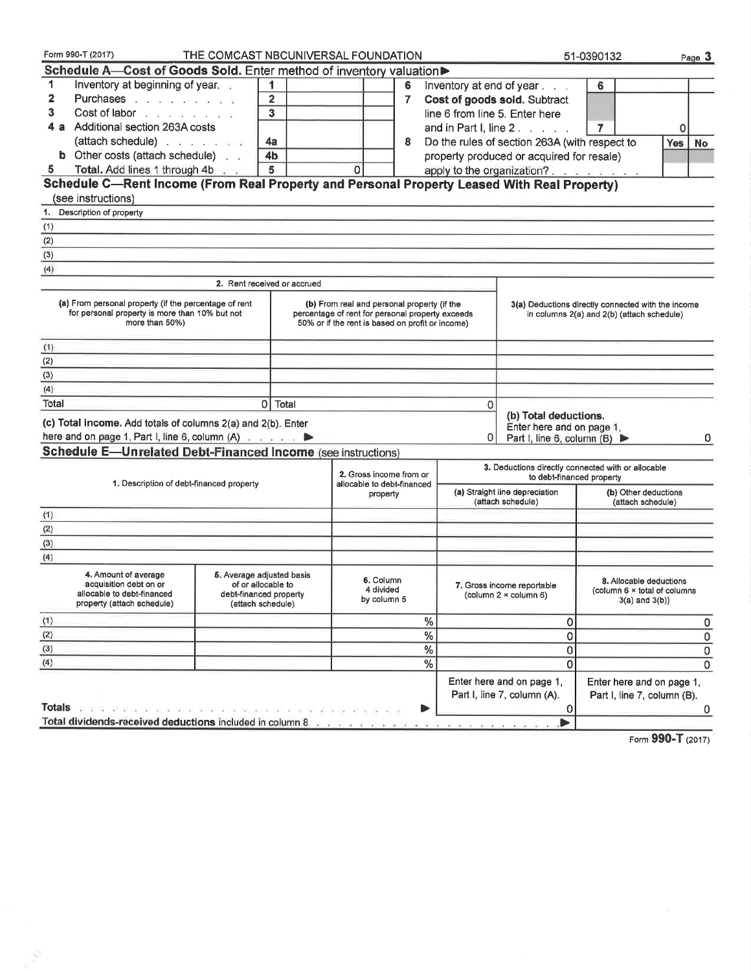|                | Form 990-T (2017)                                                                                                                    | THE COMCAST NBCUNIVERSAL FOUNDATION                                                            |                             |                                                                                                                                                     |          |               |   |                                                                                 | 51-0390132                                                                                       |                   | Page 3 |
|----------------|--------------------------------------------------------------------------------------------------------------------------------------|------------------------------------------------------------------------------------------------|-----------------------------|-----------------------------------------------------------------------------------------------------------------------------------------------------|----------|---------------|---|---------------------------------------------------------------------------------|--------------------------------------------------------------------------------------------------|-------------------|--------|
|                | Schedule A-Cost of Goods Sold. Enter method of inventory valuation▶                                                                  |                                                                                                |                             |                                                                                                                                                     |          |               |   |                                                                                 |                                                                                                  |                   |        |
| 1              | Inventory at beginning of year. a                                                                                                    |                                                                                                | 1                           |                                                                                                                                                     | 6        |               |   | Inventory at end of year                                                        | 6                                                                                                |                   |        |
| $\overline{2}$ | Purchases                                                                                                                            |                                                                                                | $\overline{2}$              |                                                                                                                                                     | 7        |               |   | Cost of goods sold. Subtract                                                    |                                                                                                  |                   |        |
| 3              | Cost of labor                                                                                                                        |                                                                                                | 3                           |                                                                                                                                                     |          |               |   | line 6 from line 5. Enter here                                                  |                                                                                                  |                   |        |
| 4а             | Additional section 263A costs                                                                                                        |                                                                                                |                             |                                                                                                                                                     |          |               |   | and in Part I, line 2.                                                          | $\overline{7}$                                                                                   | $\Omega$          |        |
|                |                                                                                                                                      |                                                                                                | 4a                          |                                                                                                                                                     | 8        |               |   | Do the rules of section 263A (with respect to                                   |                                                                                                  | <b>Yes</b>        | No     |
|                | <b>b</b> Other costs (attach schedule)                                                                                               |                                                                                                | 4 <sub>b</sub>              |                                                                                                                                                     |          |               |   | property produced or acquired for resale)                                       |                                                                                                  |                   |        |
| 5.             | Total. Add lines 1 through 4b                                                                                                        |                                                                                                | 5                           | $\Omega$                                                                                                                                            |          |               |   | apply to the organization?.                                                     |                                                                                                  |                   |        |
|                | Schedule C-Rent Income (From Real Property and Personal Property Leased With Real Property)                                          |                                                                                                |                             |                                                                                                                                                     |          |               |   |                                                                                 |                                                                                                  |                   |        |
|                | (see instructions)                                                                                                                   |                                                                                                |                             |                                                                                                                                                     |          |               |   |                                                                                 |                                                                                                  |                   |        |
|                | 1. Description of property                                                                                                           |                                                                                                |                             |                                                                                                                                                     |          |               |   |                                                                                 |                                                                                                  |                   |        |
| (1)            |                                                                                                                                      |                                                                                                |                             |                                                                                                                                                     |          |               |   |                                                                                 |                                                                                                  |                   |        |
| (2)            |                                                                                                                                      |                                                                                                |                             |                                                                                                                                                     |          |               |   |                                                                                 |                                                                                                  |                   |        |
| (3)            |                                                                                                                                      |                                                                                                |                             |                                                                                                                                                     |          |               |   |                                                                                 |                                                                                                  |                   |        |
| (4)            |                                                                                                                                      |                                                                                                |                             |                                                                                                                                                     |          |               |   |                                                                                 |                                                                                                  |                   |        |
|                |                                                                                                                                      |                                                                                                | 2. Rent received or accrued |                                                                                                                                                     |          |               |   |                                                                                 |                                                                                                  |                   |        |
|                | (a) From personal property (if the percentage of rent<br>for personal property is more than 10% but not<br>more than 50%)            |                                                                                                |                             | (b) From real and personal property (if the<br>percentage of rent for personal property exceeds<br>50% or if the rent is based on profit or income) |          |               |   |                                                                                 | 3(a) Deductions directly connected with the income<br>in columns 2(a) and 2(b) (attach schedule) |                   |        |
|                |                                                                                                                                      |                                                                                                |                             |                                                                                                                                                     |          |               |   |                                                                                 |                                                                                                  |                   |        |
| (1)<br>(2)     |                                                                                                                                      |                                                                                                |                             |                                                                                                                                                     |          |               |   |                                                                                 |                                                                                                  |                   |        |
| (3)            |                                                                                                                                      |                                                                                                |                             |                                                                                                                                                     |          |               |   |                                                                                 |                                                                                                  |                   |        |
| (4)            |                                                                                                                                      |                                                                                                |                             |                                                                                                                                                     |          |               |   |                                                                                 |                                                                                                  |                   |        |
| Total          |                                                                                                                                      |                                                                                                | 0 Total                     |                                                                                                                                                     |          |               | 0 |                                                                                 |                                                                                                  |                   |        |
|                | (c) Total income. Add totals of columns 2(a) and 2(b). Enter<br>here and on page 1, Part I, line 6, column (A) $\blacktriangleright$ |                                                                                                |                             |                                                                                                                                                     |          |               | ٥ | (b) Total deductions.<br>Enter here and on page 1,                              |                                                                                                  |                   |        |
|                | <b>Schedule E-Unrelated Debt-Financed Income (see instructions)</b>                                                                  |                                                                                                |                             |                                                                                                                                                     |          |               |   | Part I, line 6, column (B) ▶                                                    |                                                                                                  |                   | 0      |
|                |                                                                                                                                      |                                                                                                |                             |                                                                                                                                                     |          |               |   |                                                                                 |                                                                                                  |                   |        |
|                | 1. Description of debt-financed property                                                                                             |                                                                                                |                             | 2. Gross income from or<br>allocable to debt-financed                                                                                               |          |               |   | 3. Deductions directly connected with or allocable<br>to debt-financed property |                                                                                                  |                   |        |
|                |                                                                                                                                      |                                                                                                |                             |                                                                                                                                                     | property |               |   | (a) Straight line depreciation<br>(attach schedule)                             | (b) Other deductions<br>(attach schedule)                                                        |                   |        |
| (1)            |                                                                                                                                      |                                                                                                |                             |                                                                                                                                                     |          |               |   |                                                                                 |                                                                                                  |                   |        |
| (2)            |                                                                                                                                      |                                                                                                |                             |                                                                                                                                                     |          |               |   |                                                                                 |                                                                                                  |                   |        |
| (3)            |                                                                                                                                      |                                                                                                |                             |                                                                                                                                                     |          |               |   |                                                                                 |                                                                                                  |                   |        |
| (4)            |                                                                                                                                      |                                                                                                |                             |                                                                                                                                                     |          |               |   |                                                                                 |                                                                                                  |                   |        |
|                | 4. Amount of average<br>acquisition debt on or<br>allocable to debt-financed<br>property (attach schedule)                           | 5. Average adjusted basis<br>of or allocable to<br>debt-financed property<br>(attach schedule) |                             | 6. Column<br>4 divided<br>by column 5                                                                                                               |          |               |   | 7. Gross income reportable<br>(column $2 \times$ column 6)                      | 8. Allocable deductions<br>(column 6 x total of columns                                          | $3(a)$ and $3(b)$ |        |
| (1)            |                                                                                                                                      |                                                                                                |                             |                                                                                                                                                     |          | %             |   | 0                                                                               |                                                                                                  |                   | 0      |
| (2)            |                                                                                                                                      |                                                                                                |                             |                                                                                                                                                     |          | $\frac{9}{6}$ |   | 0                                                                               |                                                                                                  |                   | 0      |
| (3)            |                                                                                                                                      |                                                                                                |                             |                                                                                                                                                     |          | $\%$          |   | 0                                                                               |                                                                                                  |                   | 0      |
| (4)            |                                                                                                                                      |                                                                                                |                             |                                                                                                                                                     |          | $\frac{9}{6}$ |   | 0                                                                               |                                                                                                  |                   | 0      |
| Totals         |                                                                                                                                      |                                                                                                |                             |                                                                                                                                                     |          |               |   | Enter here and on page 1,<br>Part I, line 7, column (A).                        | Enter here and on page 1,<br>Part I, line 7, column (B).                                         |                   |        |
|                | Total dividends-received deductions included in column 8                                                                             |                                                                                                |                             |                                                                                                                                                     |          |               |   | $\mathbf 0$<br>▶                                                                |                                                                                                  |                   | 0      |

8

Form 990-T (2017)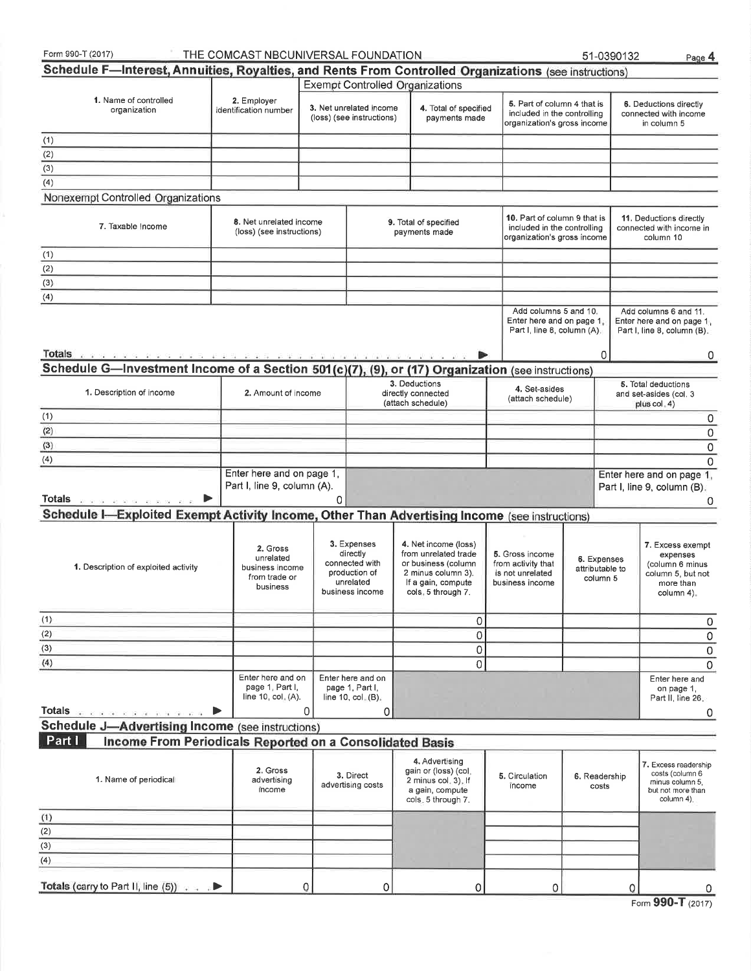| Form 990-T (2017)                                                                                                              | THE COMCAST NBCUNIVERSAL FOUNDATION                                   |          |                                                                                            |                                                                                                                                       |                                                                                            | 51-0390132                                 | Page 4                                                                                          |
|--------------------------------------------------------------------------------------------------------------------------------|-----------------------------------------------------------------------|----------|--------------------------------------------------------------------------------------------|---------------------------------------------------------------------------------------------------------------------------------------|--------------------------------------------------------------------------------------------|--------------------------------------------|-------------------------------------------------------------------------------------------------|
| Schedule F-Interest, Annuities, Royalties, and Rents From Controlled Organizations (see instructions)                          |                                                                       |          |                                                                                            |                                                                                                                                       |                                                                                            |                                            |                                                                                                 |
|                                                                                                                                |                                                                       |          |                                                                                            | <b>Exempt Controlled Organizations</b>                                                                                                |                                                                                            |                                            |                                                                                                 |
| 1. Name of controlled<br>organization                                                                                          | 2. Employer<br>identification number                                  |          | 3. Net unrelated income<br>(loss) (see instructions)                                       | 4. Total of specified<br>payments made                                                                                                | 5. Part of column 4 that is<br>included in the controlling<br>organization's gross income  |                                            | 6. Deductions directly<br>connected with income<br>in column 5                                  |
| (1)                                                                                                                            |                                                                       |          |                                                                                            |                                                                                                                                       |                                                                                            |                                            |                                                                                                 |
| (2)                                                                                                                            |                                                                       |          |                                                                                            |                                                                                                                                       |                                                                                            |                                            |                                                                                                 |
| (3)                                                                                                                            |                                                                       |          |                                                                                            |                                                                                                                                       |                                                                                            |                                            |                                                                                                 |
| (4)                                                                                                                            |                                                                       |          |                                                                                            |                                                                                                                                       |                                                                                            |                                            |                                                                                                 |
| Nonexempt Controlled Organizations                                                                                             |                                                                       |          |                                                                                            |                                                                                                                                       |                                                                                            |                                            |                                                                                                 |
| 7. Taxable Income                                                                                                              | 8. Net unrelated income<br>(loss) (see instructions)                  |          |                                                                                            | 9. Total of specified<br>payments made                                                                                                | 10. Part of column 9 that is<br>included in the controlling<br>organization's gross income |                                            | 11. Deductions directly<br>connected with income in<br>column 10                                |
|                                                                                                                                |                                                                       |          |                                                                                            |                                                                                                                                       |                                                                                            |                                            |                                                                                                 |
| (1)                                                                                                                            |                                                                       |          |                                                                                            |                                                                                                                                       |                                                                                            |                                            |                                                                                                 |
| (2)                                                                                                                            |                                                                       |          |                                                                                            |                                                                                                                                       |                                                                                            |                                            |                                                                                                 |
| (3)                                                                                                                            |                                                                       |          |                                                                                            |                                                                                                                                       |                                                                                            |                                            |                                                                                                 |
| (4)                                                                                                                            |                                                                       |          |                                                                                            |                                                                                                                                       |                                                                                            |                                            |                                                                                                 |
|                                                                                                                                |                                                                       |          |                                                                                            |                                                                                                                                       | Add columns 5 and 10.<br>Enter here and on page 1.<br>Part I, line 8, column (A).          |                                            | Add columns 6 and 11.<br>Enter here and on page 1,<br>Part I, line 8, column (B).               |
| Totals                                                                                                                         |                                                                       |          |                                                                                            |                                                                                                                                       |                                                                                            | 0                                          | 0                                                                                               |
| Schedule G-Investment Income of a Section 501(c)(7), (9), or (17) Organization (see instructions)                              |                                                                       |          |                                                                                            |                                                                                                                                       |                                                                                            |                                            |                                                                                                 |
| 1. Description of income                                                                                                       | 2. Amount of income                                                   |          |                                                                                            | 3. Deductions<br>directly connected<br>(attach schedule)                                                                              | 4. Set-asides<br>(attach schedule)                                                         |                                            | 5. Total deductions<br>and set-asides (col. 3<br>plus col. 4)                                   |
| (1)                                                                                                                            |                                                                       |          |                                                                                            |                                                                                                                                       |                                                                                            |                                            | 0                                                                                               |
| (2)                                                                                                                            |                                                                       |          |                                                                                            |                                                                                                                                       |                                                                                            |                                            | 0                                                                                               |
| (3)                                                                                                                            |                                                                       |          |                                                                                            |                                                                                                                                       |                                                                                            |                                            |                                                                                                 |
| (4)                                                                                                                            |                                                                       |          |                                                                                            |                                                                                                                                       |                                                                                            |                                            | 0                                                                                               |
|                                                                                                                                | Enter here and on page 1,                                             |          |                                                                                            |                                                                                                                                       |                                                                                            |                                            | 0<br>Enter here and on page 1,                                                                  |
| Totals www.communications.com<br>Schedule I-Exploited Exempt Activity Income, Other Than Advertising Income (see instructions) | Part I, line 9, column (A).                                           | $\Omega$ |                                                                                            |                                                                                                                                       |                                                                                            |                                            | Part I, line 9, column (B).<br>0                                                                |
|                                                                                                                                |                                                                       |          |                                                                                            |                                                                                                                                       |                                                                                            |                                            |                                                                                                 |
| 1. Description of exploited activity                                                                                           | 2. Gross<br>unrelated<br>business income<br>from trade or<br>business |          | 3. Expenses<br>directly<br>connected with<br>production of<br>unrelated<br>business income | 4. Net income (loss)<br>from unrelated trade<br>or business (column<br>2 minus column 3).<br>If a gain, compute<br>cols, 5 through 7. | 5. Gross income<br>from activity that<br>is not unrelated<br>business income               | 6. Expenses<br>attributable to<br>column 5 | 7. Excess exempt<br>expenses<br>(column 6 minus<br>column 5, but not<br>more than<br>column 4). |
| (1)                                                                                                                            |                                                                       |          |                                                                                            | 0                                                                                                                                     |                                                                                            |                                            | 0                                                                                               |
| (2)                                                                                                                            |                                                                       |          |                                                                                            | $\overline{0}$                                                                                                                        |                                                                                            |                                            | $\mathsf{O}\xspace$                                                                             |
| (3)                                                                                                                            |                                                                       |          |                                                                                            | 0                                                                                                                                     |                                                                                            |                                            | $\mathsf{O}\xspace$                                                                             |
| (4)                                                                                                                            |                                                                       |          |                                                                                            | 0                                                                                                                                     |                                                                                            |                                            | $\mathbf 0$                                                                                     |
| Totals and a manufacturer of                                                                                                   | Enter here and on<br>page 1, Part I,<br>line 10, $col$ $(A)$ .        | 0        | Enter here and on<br>page 1, Part I,<br>line 10, $col_n(B)$ .<br>0                         |                                                                                                                                       |                                                                                            |                                            | Enter here and<br>on page 1,<br>Part II, line 26.                                               |
| Schedule J-Advertising Income (see instructions)                                                                               |                                                                       |          |                                                                                            |                                                                                                                                       |                                                                                            |                                            | 0                                                                                               |
| Part I<br>Income From Periodicals Reported on a Consolidated Basis                                                             |                                                                       |          |                                                                                            |                                                                                                                                       |                                                                                            |                                            |                                                                                                 |
|                                                                                                                                |                                                                       |          |                                                                                            |                                                                                                                                       |                                                                                            |                                            |                                                                                                 |
| 1. Name of periodical                                                                                                          | 2. Gross<br>advertising<br>income                                     |          | 3. Direct<br>advertising costs                                                             | 4. Advertising<br>gain or (loss) (col.<br>2 minus col. 3). If<br>a gain, compute<br>cols. 5 through 7.                                | 5. Circulation<br>income                                                                   | 6. Readership<br>costs                     | 7. Excess readership<br>costs (column 6<br>minus column 5.<br>but not more than<br>column 4).   |
| (1)                                                                                                                            |                                                                       |          |                                                                                            |                                                                                                                                       |                                                                                            |                                            |                                                                                                 |
| (2)                                                                                                                            |                                                                       |          |                                                                                            |                                                                                                                                       |                                                                                            |                                            |                                                                                                 |
| (3)                                                                                                                            |                                                                       |          |                                                                                            |                                                                                                                                       |                                                                                            |                                            |                                                                                                 |
| (4)                                                                                                                            |                                                                       |          |                                                                                            |                                                                                                                                       |                                                                                            |                                            |                                                                                                 |
| Totals (carry to Part II, line $(5)$ )                                                                                         |                                                                       | 0        | 0                                                                                          | 0                                                                                                                                     | 0                                                                                          | 0                                          |                                                                                                 |

| Form 990-T (2017) |  |
|-------------------|--|
|-------------------|--|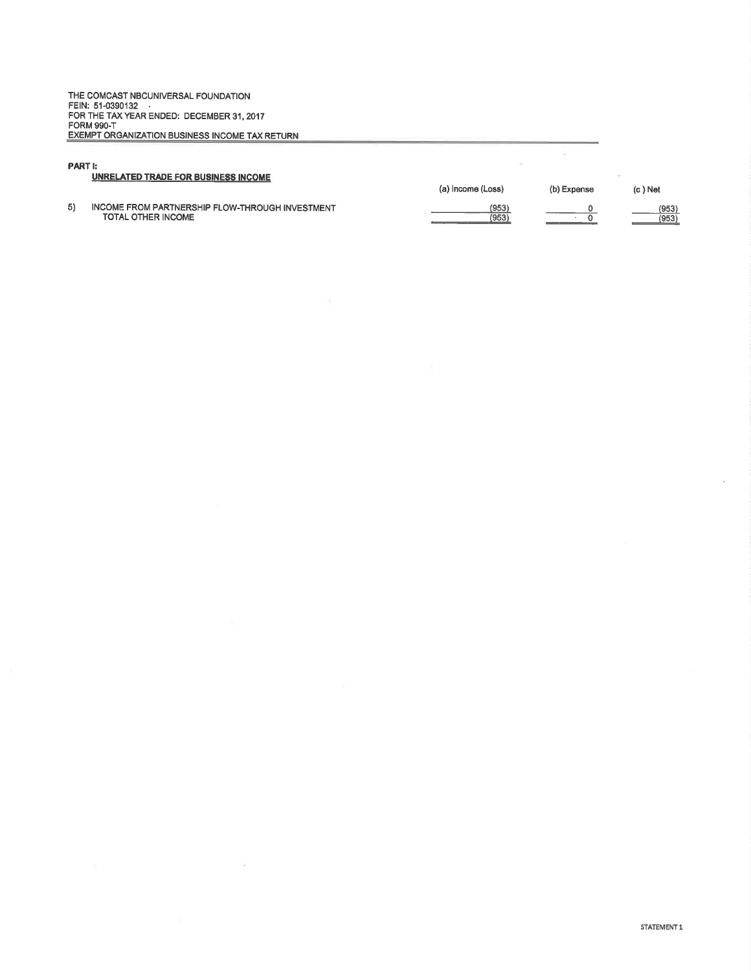THE COMCAST NBCUNIVERSAL FOUNDATION<br>FEIN: 51-0390132<br>FOR THE TAX YEAR ENDED: DECEMBER 31, 2017<br>FORM 990-T<br>EXEMPT ORGANIZATION BUSINESS INCOME TAX RETURN

#### PART I:

#### UNRELATED TRADE FOR BUSINESS INCOME

5) INCOME FROM PARTNERSHIP FLOW.THROUGH INVESTMENT TOTAL OTHER INCOME (a) Income (Loss) (b) Expense (c) Net

 $\pm 1$ 

 $\frac{(953)}{(953)}$ 

 $\frac{0}{0}$ 

 $\frac{(953)}{(953)}$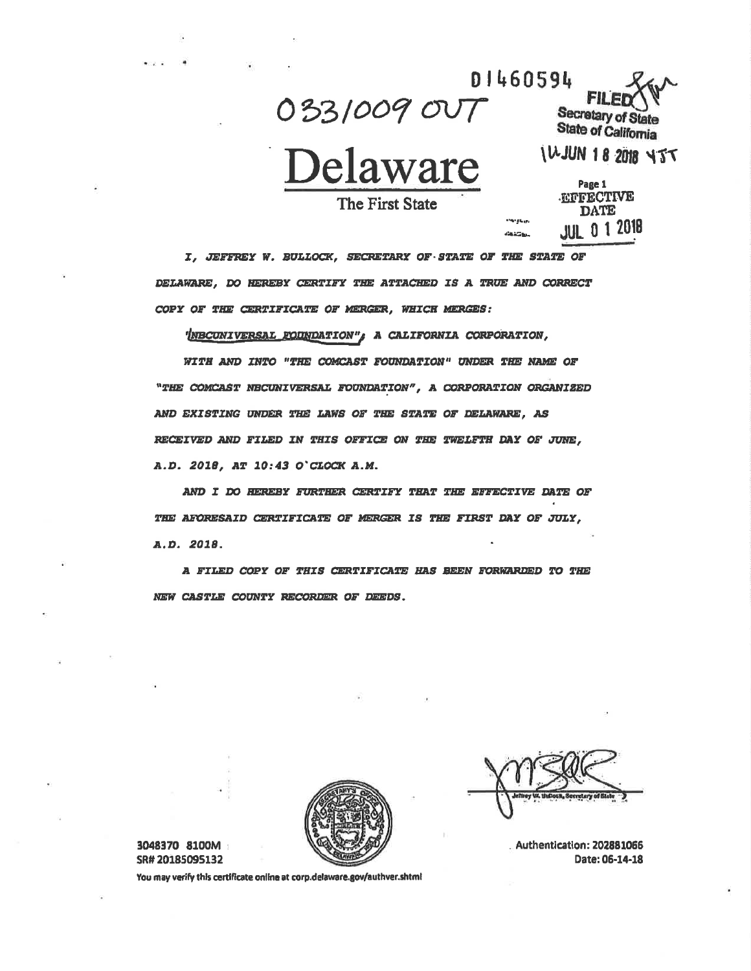033/009 007

D1460594 Secretary of **State of California** 

**IWJUN 18 2018 4JT** 

**The First State** 

|             |                     | Page 1      |  |
|-------------|---------------------|-------------|--|
|             | <b>EFFECTIVE</b>    |             |  |
|             |                     | <b>DATE</b> |  |
| յերա<br>5m. | <b>JUL 0 1 2018</b> |             |  |

I, JEFFREY W. BULLOCK, SECRETARY OF STATE OF THE STATE OF DELAWARE, DO HEREBY CERTIFY THE ATTACHED IS A TRUE AND CORRECT COPY OF THE CERTIFICATE OF MERGER, WHICH MERGES:

'INBCUNIVERSAL FOUNDATION", A CALIFORNIA CORPORATION,

WITH AND INTO "THE COMCAST FOUNDATION" UNDER THE NAME OF "THE COMCAST NECUNIVERSAL FOUNDATION", A CORPORATION ORGANIZED AND EXISTING UNDER THE LAWS OF THE STATE OF DELAWARE, AS RECEIVED AND FILED IN THIS OFFICE ON THE TWELFTH DAY OF JUNE, A.D. 2018, AT 10:43 O'CLOCK A.M.

AND I DO HEREBY FURTHER CERTIFY THAT THE EFFECTIVE DATE OF THE AFORESAID CERTIFICATE OF MERGER IS THE FIRST DAY OF JULY, A.D. 2018.

A FILED COPY OF THIS CERTIFICATE HAS BEEN FORWARDED TO THE NEW CASTLE COUNTY RECORDER OF DEEDS.



3048370 8100M SR#20185095132

Authentication: 202881066 Date: 06-14-18

You may verify this certificate online at corp.delaware.gov/authver.shtml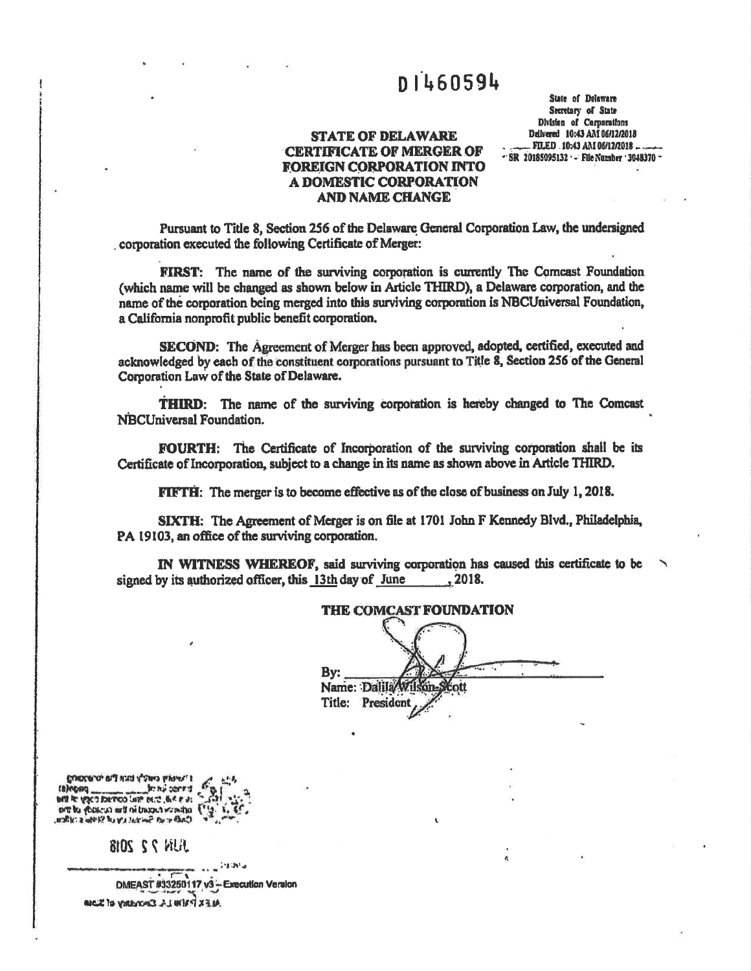## **DI460594**

**STATE OF DELAWARE CERTIFICATE OF MERGER OF FOREIGN CORPORATION INTO A DOMESTIC CORPORATION AND NAME CHANGE** 

**State of Delaware** Secretary of State Division of Corporations Delivered 10:43 AM 06/12/2018 .. FILED .10:43 AM 06/12/2018 ... - SR 20185095132 - File Namber 3048370 -

Pursuant to Title 8, Section 256 of the Delaware General Corporation Law, the undersigned corporation executed the following Certificate of Merger:

FIRST: The name of the surviving corporation is currently The Comcast Foundation (which name will be changed as shown below in Article THIRD), a Delaware corporation, and the name of the corporation being merged into this surviving corporation is NBCUniversal Foundation, a California nonprofit public benefit corporation.

SECOND: The Agreement of Merger has been approved, adopted, certified, executed and acknowledged by each of the constituent corporations pursuant to Title 8, Section 256 of the General Corporation Law of the State of Delaware.

**THIRD:** The name of the surviving corporation is hereby changed to The Comcast NBCUniversal Foundation.

FOURTH: The Certificate of Incorporation of the surviving corporation shall be its Certificate of Incorporation, subject to a change in its name as shown above in Article THIRD.

FIFTH: The merger is to become effective as of the close of business on July 1, 2018.

SIXTH: The Agreement of Merger is on file at 1701 John F Kennedy Blvd., Philadelphia, PA 19103, an office of the surviving corporation.

IN WITNESS WHEREOF, said surviving corporation has caused this certificate to be signed by its authorized officer, this 13th day of June , 2018.

#### THE COMCAST FOUNDATION

| By:<br>Name: Dalila |  |  |  |  |  |
|---------------------|--|--|--|--|--|
| Title: President    |  |  |  |  |  |

Burdence in and About hypers is ENDONE AND CONTROL OF PROPERTY ore to yestern with it based strains. (11g. 1) לאלי ב שלי אי ובע ובי ובי הל מיוחד

玛尔 2 2 2018

accessed 1981a DMEAST #33250117 v3 - Execution Version **ALEX PATHLE EMONARY of SLOIA**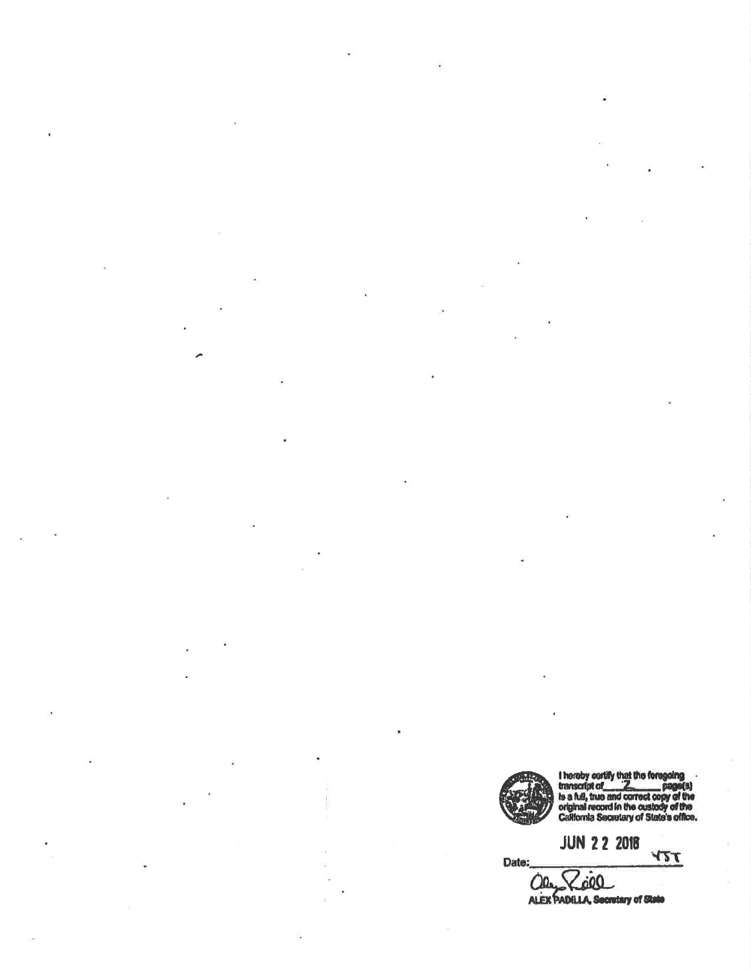

Date:

I hereby certify that the foregoing<br>transcript of<br>is a full, true and correct copy of the<br>original record in the custody of the<br>California Secretary of State's office.

**JUN 2 2 2018** YTT

 $\Omega$ 00 ODAL COOL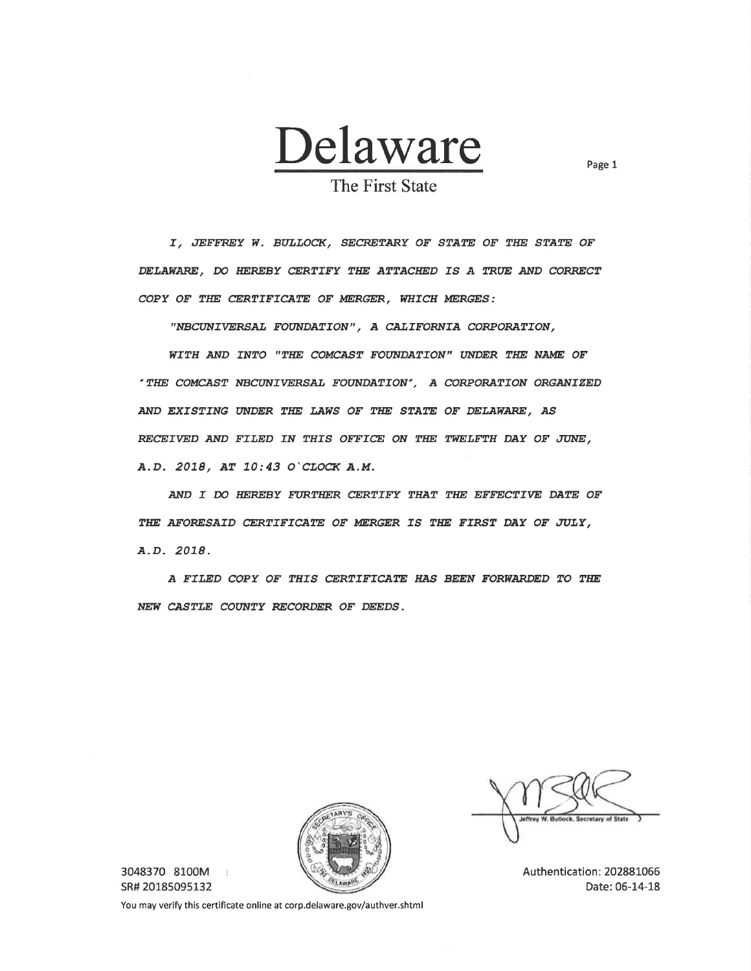

Page 1

The First State

I, JEFFREY W. BULLOCK, SECRETARY OF STATE OF THE STATE OF DELAWARE, DO HEREBY CERTIFY THE ATTACHED IS A TRUE AND CORRECT COPY OF THE CERTIFICATE OF MERGER, WHICH MERGES:

"NBCUNIVERSAL FOUNDATION", A CALIFORNIA CORPORATION,

WITH AND INTO "THE COMCAST FOUNDATION" UNDER THE NAME OF "THE COMCAST NBCUNIVERSAL FOUNDATION", A CORPORATION ORGANIZED AND EXISTING UNDER THE LAWS OF THE STATE OF DELAWARE, AS RECEIVED AND FILED IN THIS OFFICE ON THE TWELFTH DAY OF JUNE, A.D. 2018, AT 10:43 O'CLOCK A.M.

AND I DO HEREBY FURTHER CERTIFY THAT THE EFFECTIVE DATE OF THE AFORESAID CERTIFICATE OF MERGER IS THE FIRST DAY OF JULY, A.D. 2018.

A FILED COPY OF THIS CERTIFICATE HAS BEEN FORWARDED TO THE NEW CASTLE COUNTY RECORDER OF DEEDS.



3048370 8100M - i SR# 20185095132

Authentication: 202881066 Date: 06-14-18

You may verify this certificate online at corp.delaware.gov/authver.shtml